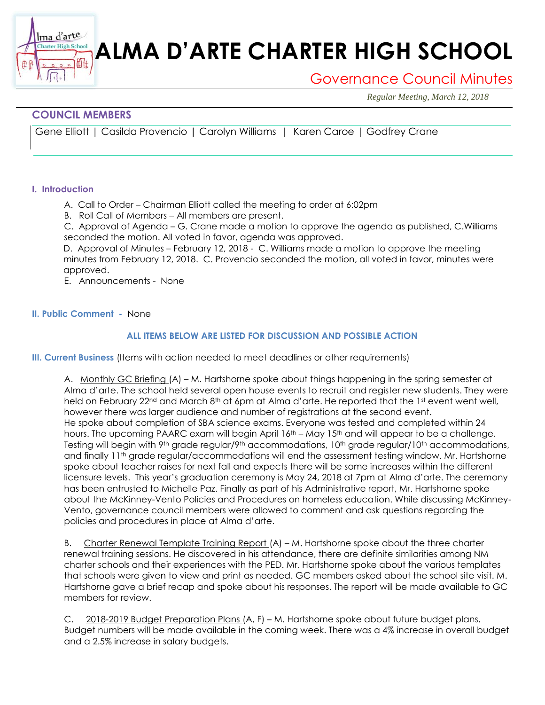# **ALMA D'ARTE CHARTER HIGH SCHOOL**

## Governance Council Minutes

*Regular Meeting, March 12, 2018*

### **COUNCIL MEMBERS**

衄

Gene Elliott | Casilda Provencio | Carolyn Williams | Karen Caroe | Godfrey Crane

#### **I. Introduction**

lma d'arte **Charter High School** 

- A. Call to Order Chairman Elliott called the meeting to order at 6:02pm
- B. Roll Call of Members All members are present.

C. Approval of Agenda – G. Crane made a motion to approve the agenda as published, C.Williams seconded the motion. All voted in favor, agenda was approved.

D. Approval of Minutes – February 12, 2018 - C. Williams made a motion to approve the meeting minutes from February 12, 2018. C. Provencio seconded the motion, all voted in favor, minutes were approved.

E. Announcements - None

#### **II. Public Comment -** None

#### **ALL ITEMS BELOW ARE LISTED FOR DISCUSSION AND POSSIBLE ACTION**

**III. Current Business** (Items with action needed to meet deadlines or other requirements)

A. Monthly GC Briefing (A) – M. Hartshorne spoke about things happening in the spring semester at Alma d'arte. The school held several open house events to recruit and register new students. They were held on February 22<sup>nd</sup> and March 8<sup>th</sup> at 6pm at Alma d'arte. He reported that the 1st event went well, however there was larger audience and number of registrations at the second event. He spoke about completion of SBA science exams. Everyone was tested and completed within 24 hours. The upcoming PAARC exam will begin April 16<sup>th</sup> – May 15<sup>th</sup> and will appear to be a challenge. Testing will begin with 9<sup>th</sup> grade regular/9<sup>th</sup> accommodations, 10<sup>th</sup> grade regular/10<sup>th</sup> accommodations, and finally 11th grade regular/accommodations will end the assessment testing window. Mr. Hartshorne spoke about teacher raises for next fall and expects there will be some increases within the different licensure levels. This year's graduation ceremony is May 24, 2018 at 7pm at Alma d'arte. The ceremony has been entrusted to Michelle Paz. Finally as part of his Administrative report, Mr. Hartshorne spoke about the McKinney-Vento Policies and Procedures on homeless education. While discussing McKinney-Vento, governance council members were allowed to comment and ask questions regarding the policies and procedures in place at Alma d'arte.

B. Charter Renewal Template Training Report (A) – M. Hartshorne spoke about the three charter renewal training sessions. He discovered in his attendance, there are definite similarities among NM charter schools and their experiences with the PED. Mr. Hartshorne spoke about the various templates that schools were given to view and print as needed. GC members asked about the school site visit. M. Hartshorne gave a brief recap and spoke about his responses. The report will be made available to GC members for review.

C. 2018-2019 Budget Preparation Plans (A, F) – M. Hartshorne spoke about future budget plans. Budget numbers will be made available in the coming week. There was a 4% increase in overall budget and a 2.5% increase in salary budgets.